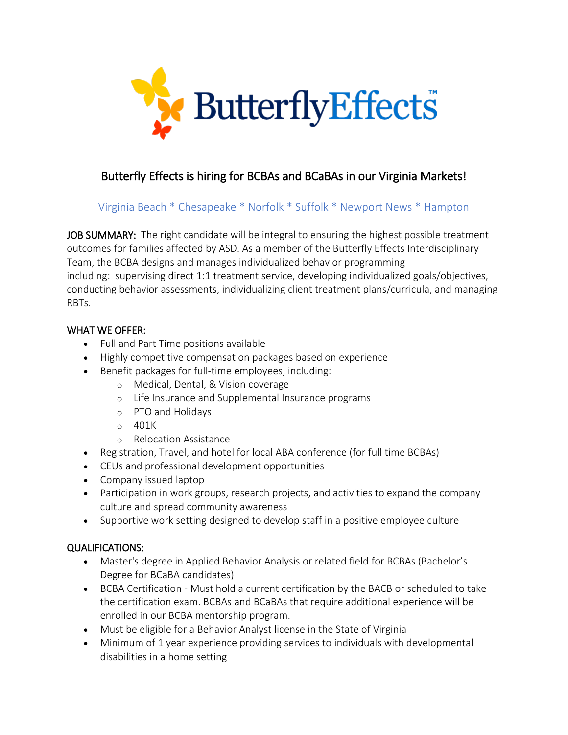

## Butterfly Effects is hiring for BCBAs and BCaBAs in our Virginia Markets!

## Virginia Beach \* Chesapeake \* Norfolk \* Suffolk \* Newport News \* Hampton

JOB SUMMARY: The right candidate will be integral to ensuring the highest possible treatment outcomes for families affected by ASD. As a member of the Butterfly Effects Interdisciplinary Team, the BCBA designs and manages individualized behavior programming including: supervising direct 1:1 treatment service, developing individualized goals/objectives, conducting behavior assessments, individualizing client treatment plans/curricula, and managing RBTs.

## WHAT WE OFFER:

- Full and Part Time positions available
- Highly competitive compensation packages based on experience
- Benefit packages for full-time employees, including:
	- o Medical, Dental, & Vision coverage
	- o Life Insurance and Supplemental Insurance programs
	- o PTO and Holidays
	- $O$  401K
	- o Relocation Assistance
- Registration, Travel, and hotel for local ABA conference (for full time BCBAs)
- CEUs and professional development opportunities
- Company issued laptop
- Participation in work groups, research projects, and activities to expand the company culture and spread community awareness
- Supportive work setting designed to develop staff in a positive employee culture

## QUALIFICATIONS:

- Master's degree in Applied Behavior Analysis or related field for BCBAs (Bachelor's Degree for BCaBA candidates)
- BCBA Certification Must hold a current certification by the BACB or scheduled to take the certification exam. BCBAs and BCaBAs that require additional experience will be enrolled in our BCBA mentorship program.
- Must be eligible for a Behavior Analyst license in the State of Virginia
- Minimum of 1 year experience providing services to individuals with developmental disabilities in a home setting